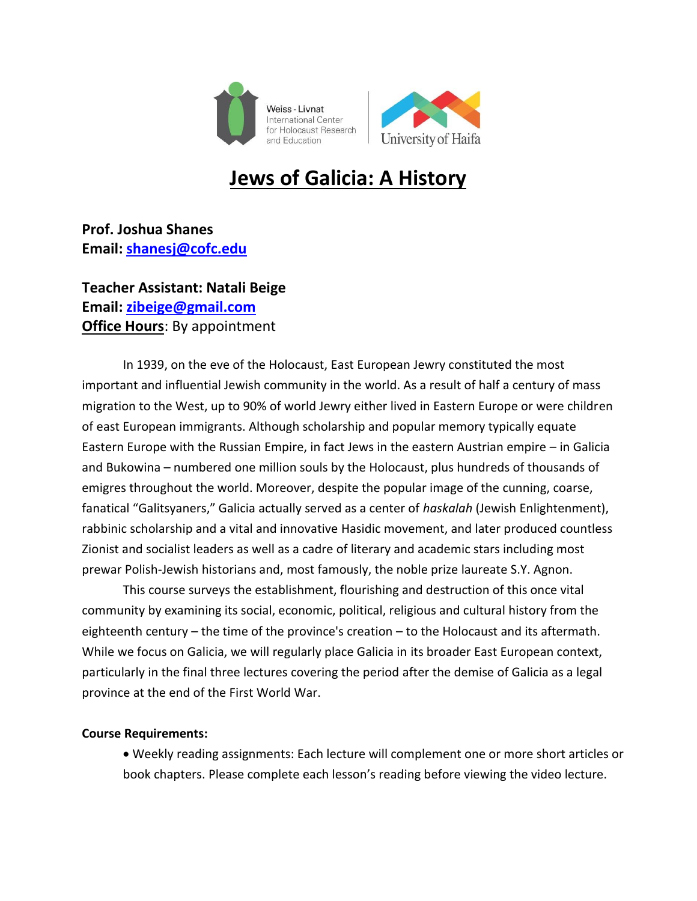



# **Jews of Galicia: A History**

**Prof. Joshua Shanes Email: [shanesj@cofc.edu](mailto:shanesj@cofc.edu)**

# **Teacher Assistant: Natali Beige Email: [zibeige@gmail.com](mailto:zibeige@gmail.com) Office Hours**: By appointment

In 1939, on the eve of the Holocaust, East European Jewry constituted the most important and influential Jewish community in the world. As a result of half a century of mass migration to the West, up to 90% of world Jewry either lived in Eastern Europe or were children of east European immigrants. Although scholarship and popular memory typically equate Eastern Europe with the Russian Empire, in fact Jews in the eastern Austrian empire – in Galicia and Bukowina – numbered one million souls by the Holocaust, plus hundreds of thousands of emigres throughout the world. Moreover, despite the popular image of the cunning, coarse, fanatical "Galitsyaners," Galicia actually served as a center of *haskalah* (Jewish Enlightenment), rabbinic scholarship and a vital and innovative Hasidic movement, and later produced countless Zionist and socialist leaders as well as a cadre of literary and academic stars including most prewar Polish-Jewish historians and, most famously, the noble prize laureate S.Y. Agnon.

This course surveys the establishment, flourishing and destruction of this once vital community by examining its social, economic, political, religious and cultural history from the eighteenth century – the time of the province's creation – to the Holocaust and its aftermath. While we focus on Galicia, we will regularly place Galicia in its broader East European context, particularly in the final three lectures covering the period after the demise of Galicia as a legal province at the end of the First World War.

## **Course Requirements:**

 Weekly reading assignments: Each lecture will complement one or more short articles or book chapters. Please complete each lesson's reading before viewing the video lecture.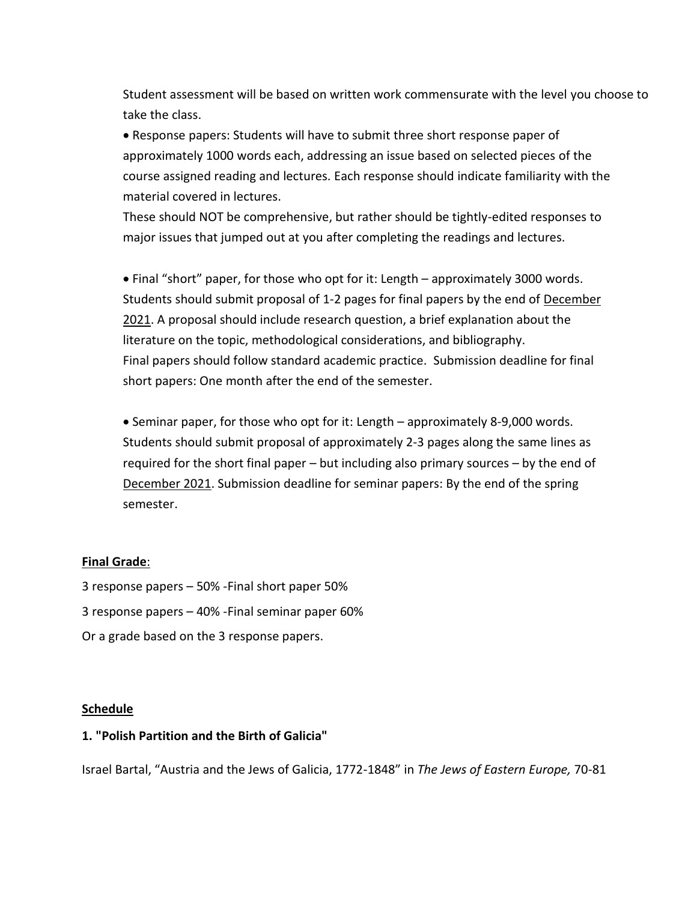Student assessment will be based on written work commensurate with the level you choose to take the class.

 Response papers: Students will have to submit three short response paper of approximately 1000 words each, addressing an issue based on selected pieces of the course assigned reading and lectures. Each response should indicate familiarity with the material covered in lectures.

These should NOT be comprehensive, but rather should be tightly-edited responses to major issues that jumped out at you after completing the readings and lectures.

 Final "short" paper, for those who opt for it: Length – approximately 3000 words. Students should submit proposal of 1-2 pages for final papers by the end of December 2021. A proposal should include research question, a brief explanation about the literature on the topic, methodological considerations, and bibliography. Final papers should follow standard academic practice. Submission deadline for final short papers: One month after the end of the semester.

• Seminar paper, for those who opt for it: Length – approximately 8-9,000 words. Students should submit proposal of approximately 2-3 pages along the same lines as required for the short final paper – but including also primary sources – by the end of December 2021. Submission deadline for seminar papers: By the end of the spring semester.

## **Final Grade**:

- 3 response papers 50% -Final short paper 50%
- 3 response papers 40% -Final seminar paper 60%
- Or a grade based on the 3 response papers.

## **Schedule**

## **1. "Polish Partition and the Birth of Galicia"**

Israel Bartal, "Austria and the Jews of Galicia, 1772-1848" in *The Jews of Eastern Europe,* 70-81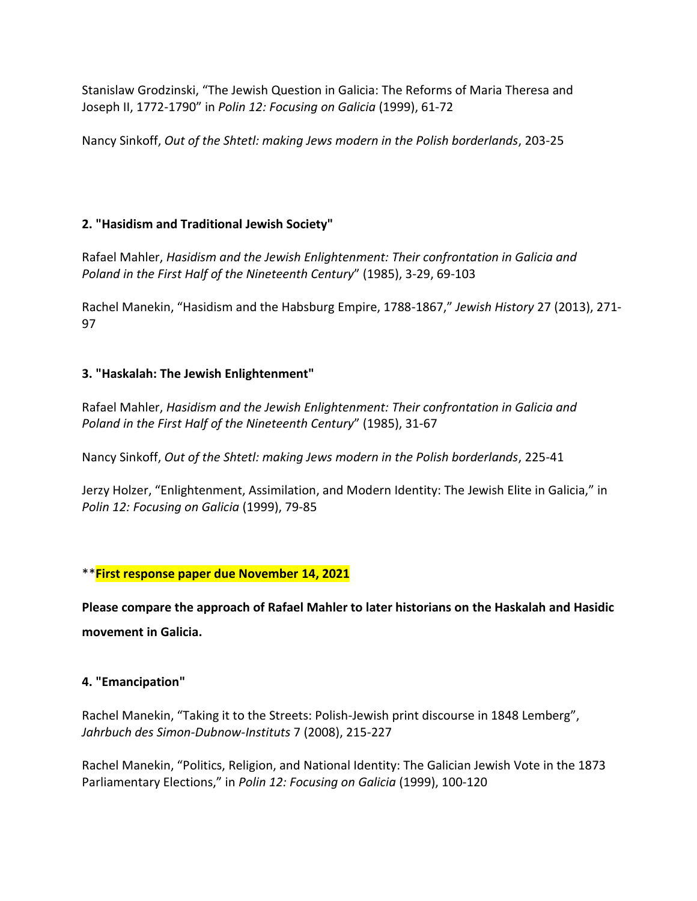Stanislaw Grodzinski, "The Jewish Question in Galicia: The Reforms of Maria Theresa and Joseph II, 1772-1790" in *Polin 12: Focusing on Galicia* (1999), 61-72

Nancy Sinkoff, *Out of the Shtetl: making Jews modern in the Polish borderlands*, 203-25

# **2. "Hasidism and Traditional Jewish Society"**

Rafael Mahler, *Hasidism and the Jewish Enlightenment: Their confrontation in Galicia and Poland in the First Half of the Nineteenth Century*" (1985), 3-29, 69-103

Rachel Manekin, "Hasidism and the Habsburg Empire, 1788-1867," *Jewish History* 27 (2013), 271- 97

# **3. "Haskalah: The Jewish Enlightenment"**

Rafael Mahler, *Hasidism and the Jewish Enlightenment: Their confrontation in Galicia and Poland in the First Half of the Nineteenth Century*" (1985), 31-67

Nancy Sinkoff, *Out of the Shtetl: making Jews modern in the Polish borderlands*, 225-41

Jerzy Holzer, "Enlightenment, Assimilation, and Modern Identity: The Jewish Elite in Galicia," in *Polin 12: Focusing on Galicia* (1999), 79-85

\*\***First response paper due November 14, 2021**

**Please compare the approach of Rafael Mahler to later historians on the Haskalah and Hasidic movement in Galicia.** 

# **4. "Emancipation"**

Rachel Manekin, "Taking it to the Streets: Polish-Jewish print discourse in 1848 Lemberg", *Jahrbuch des Simon-Dubnow-Instituts* 7 (2008), 215-227

Rachel Manekin, "Politics, Religion, and National Identity: The Galician Jewish Vote in the 1873 Parliamentary Elections," in *Polin 12: Focusing on Galicia* (1999), 100-120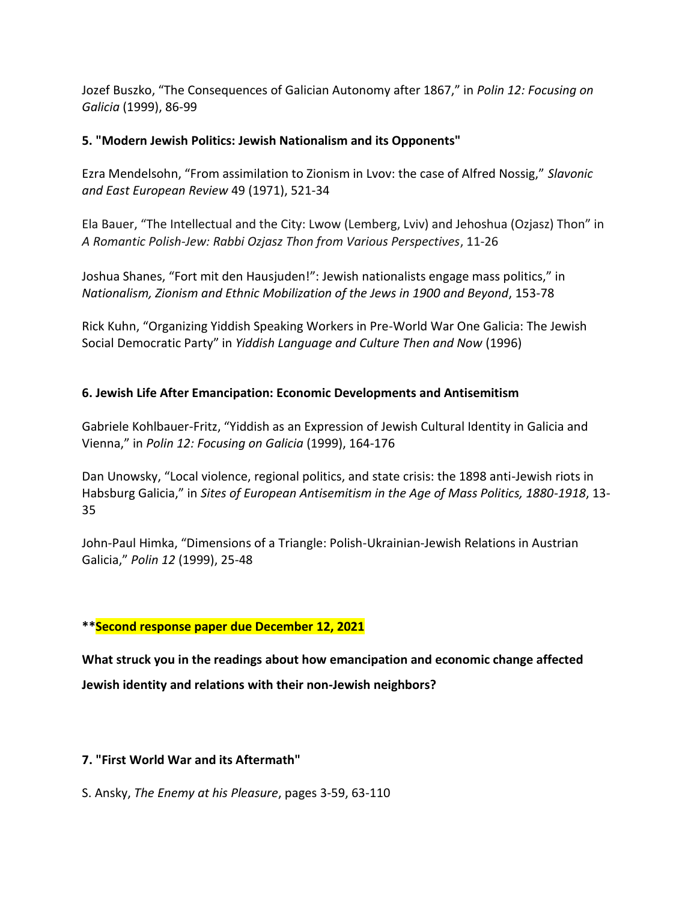Jozef Buszko, "The Consequences of Galician Autonomy after 1867," in *Polin 12: Focusing on Galicia* (1999), 86-99

# **5. "Modern Jewish Politics: Jewish Nationalism and its Opponents"**

Ezra Mendelsohn, "From assimilation to Zionism in Lvov: the case of Alfred Nossig," *Slavonic and East European Review* 49 (1971), 521-34

Ela Bauer, "The Intellectual and the City: Lwow (Lemberg, Lviv) and Jehoshua (Ozjasz) Thon" in *A Romantic Polish-Jew: Rabbi Ozjasz Thon from Various Perspectives*, 11-26

Joshua Shanes, "Fort mit den Hausjuden!": Jewish nationalists engage mass politics," in *Nationalism, Zionism and Ethnic Mobilization of the Jews in 1900 and Beyond*, 153-78

Rick Kuhn, "Organizing Yiddish Speaking Workers in Pre-World War One Galicia: The Jewish Social Democratic Party" in *Yiddish Language and Culture Then and Now* (1996)

# **6. Jewish Life After Emancipation: Economic Developments and Antisemitism**

Gabriele Kohlbauer-Fritz, "Yiddish as an Expression of Jewish Cultural Identity in Galicia and Vienna," in *Polin 12: Focusing on Galicia* (1999), 164-176

Dan Unowsky, "Local violence, regional politics, and state crisis: the 1898 anti-Jewish riots in Habsburg Galicia," in *Sites of European Antisemitism in the Age of Mass Politics, 1880-1918*, 13- 35

John-Paul Himka, "Dimensions of a Triangle: Polish-Ukrainian-Jewish Relations in Austrian Galicia," *Polin 12* (1999), 25-48

# **\*\*Second response paper due December 12, 2021**

**What struck you in the readings about how emancipation and economic change affected Jewish identity and relations with their non-Jewish neighbors?**

## **7. "First World War and its Aftermath"**

S. Ansky, *The Enemy at his Pleasure*, pages 3-59, 63-110